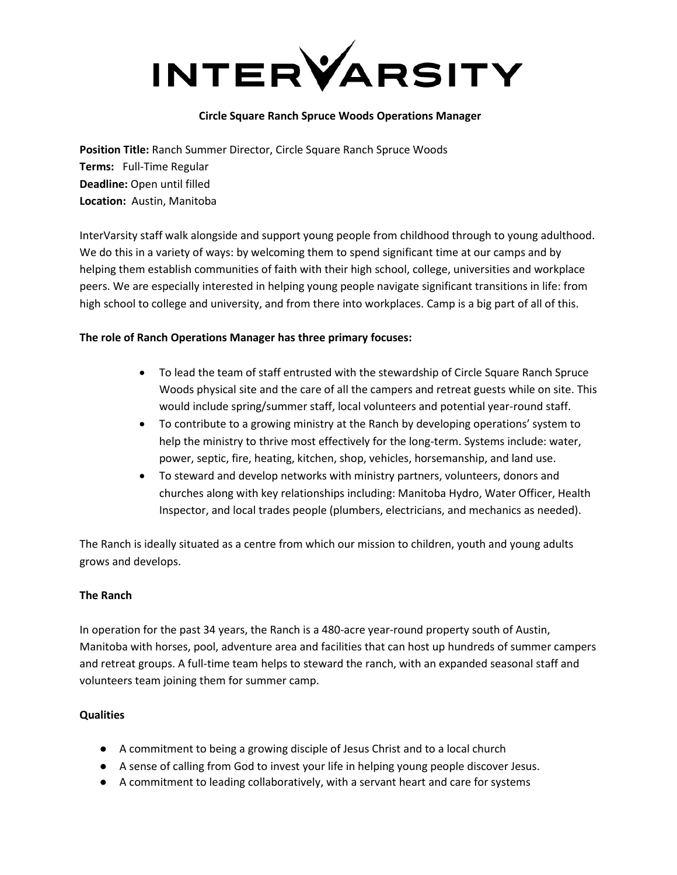

## **Circle Square Ranch Spruce Woods Operations Manager**

**Position Title:** Ranch Summer Director, Circle Square Ranch Spruce Woods **Terms:** Full-Time Regular **Deadline:** Open until filled **Location:** Austin, Manitoba

InterVarsity staff walk alongside and support young people from childhood through to young adulthood. We do this in a variety of ways: by welcoming them to spend significant time at our camps and by helping them establish communities of faith with their high school, college, universities and workplace peers. We are especially interested in helping young people navigate significant transitions in life: from high school to college and university, and from there into workplaces. Camp is a big part of all of this.

# **The role of Ranch Operations Manager has three primary focuses:**

- To lead the team of staff entrusted with the stewardship of Circle Square Ranch Spruce Woods physical site and the care of all the campers and retreat guests while on site. This would include spring/summer staff, local volunteers and potential year-round staff.
- To contribute to a growing ministry at the Ranch by developing operations' system to help the ministry to thrive most effectively for the long-term. Systems include: water, power, septic, fire, heating, kitchen, shop, vehicles, horsemanship, and land use.
- To steward and develop networks with ministry partners, volunteers, donors and churches along with key relationships including: Manitoba Hydro, Water Officer, Health Inspector, and local trades people (plumbers, electricians, and mechanics as needed).

The Ranch is ideally situated as a centre from which our mission to children, youth and young adults grows and develops.

# **The Ranch**

In operation for the past 34 years, the Ranch is a 480-acre year-round property south of Austin, Manitoba with horses, pool, adventure area and facilities that can host up hundreds of summer campers and retreat groups. A full-time team helps to steward the ranch, with an expanded seasonal staff and volunteers team joining them for summer camp.

# **Qualities**

- A commitment to being a growing disciple of Jesus Christ and to a local church
- A sense of calling from God to invest your life in helping young people discover Jesus.
- A commitment to leading collaboratively, with a servant heart and care for systems